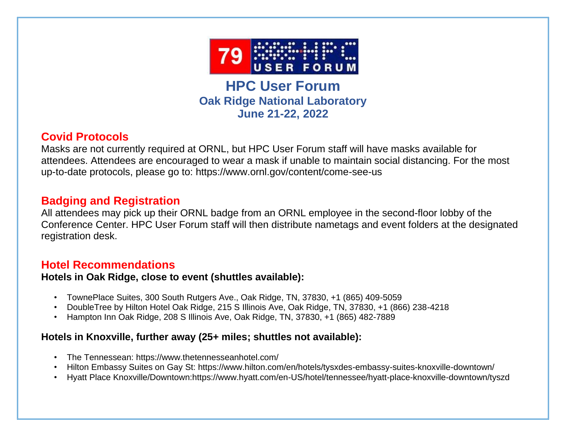

**HPC User Forum Oak Ridge National Laboratory June 21-22, 2022**

# **Covid Protocols**

Masks are not currently required at ORNL, but HPC User Forum staff will have masks available for attendees. Attendees are encouraged to wear a mask if unable to maintain social distancing. For the most up-to-date protocols, please go to: https://www.ornl.gov/content/come-see-us

## **Badging and Registration**

All attendees may pick up their ORNL badge from an ORNL employee in the second-floor lobby of the Conference Center. HPC User Forum staff will then distribute nametags and event folders at the designated registration desk.

# **Hotel Recommendations**

### **Hotels in Oak Ridge, close to event (shuttles available):**

- TownePlace Suites, 300 South Rutgers Ave., Oak Ridge, TN, 37830, +1 (865) 409-5059
- DoubleTree by Hilton Hotel Oak Ridge, 215 S Illinois Ave, Oak Ridge, TN, 37830, +1 (866) 238-4218
- Hampton Inn Oak Ridge, 208 S Illinois Ave, Oak Ridge, TN, 37830, +1 (865) 482-7889

## **Hotels in Knoxville, further away (25+ miles; shuttles not available):**

- The Tennessean: https://www.thetennesseanhotel.com/
- Hilton Embassy Suites on Gay St: https://www.hilton.com/en/hotels/tysxdes-embassy-suites-knoxville-downtown/
- Hyatt Place Knoxville/Downtown:https://www.hyatt.com/en-US/hotel/tennessee/hyatt-place-knoxville-downtown/tyszd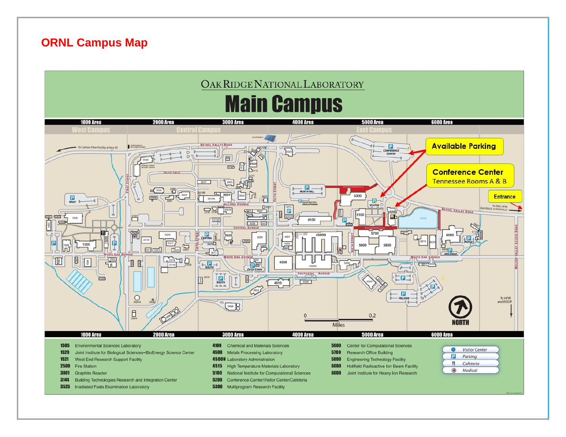## **ORNL Campus Map**

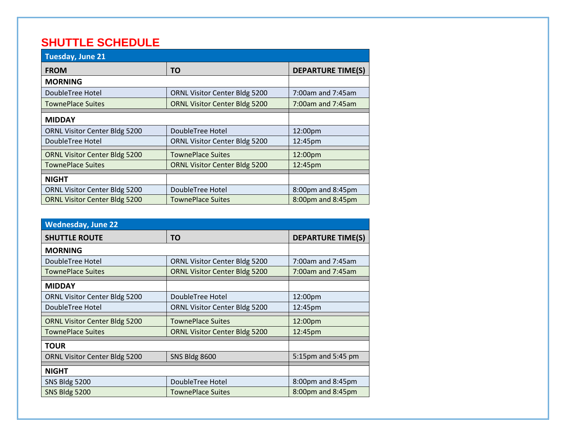# **SHUTTLE SCHEDULE**

| Tuesday, June 21                     |                                      |                          |  |
|--------------------------------------|--------------------------------------|--------------------------|--|
| <b>FROM</b>                          | ΤO                                   | <b>DEPARTURE TIME(S)</b> |  |
| <b>MORNING</b>                       |                                      |                          |  |
| DoubleTree Hotel                     | ORNL Visitor Center Bldg 5200        | 7:00am and 7:45am        |  |
| <b>TownePlace Suites</b>             | <b>ORNL Visitor Center Bldg 5200</b> | $7:00$ am and $7:45$ am  |  |
| <b>MIDDAY</b>                        |                                      |                          |  |
| ORNL Visitor Center Bldg 5200        | DoubleTree Hotel                     | 12:00pm                  |  |
| DoubleTree Hotel                     | <b>ORNL Visitor Center Bldg 5200</b> | 12:45pm                  |  |
| <b>ORNL Visitor Center Bldg 5200</b> | <b>TownePlace Suites</b>             | 12:00pm                  |  |
| <b>TownePlace Suites</b>             | <b>ORNL Visitor Center Bldg 5200</b> | 12:45pm                  |  |
| <b>NIGHT</b>                         |                                      |                          |  |
| ORNL Visitor Center Bldg 5200        | DoubleTree Hotel                     | 8:00pm and 8:45pm        |  |
| <b>ORNL Visitor Center Bldg 5200</b> | <b>TownePlace Suites</b>             | 8:00pm and 8:45pm        |  |

| Wednesday, June 22                   |                                      |                          |  |
|--------------------------------------|--------------------------------------|--------------------------|--|
| <b>SHUTTLE ROUTE</b>                 | ΤO                                   | <b>DEPARTURE TIME(S)</b> |  |
| <b>MORNING</b>                       |                                      |                          |  |
| DoubleTree Hotel                     | <b>ORNL Visitor Center Bldg 5200</b> | 7:00am and 7:45am        |  |
| <b>TownePlace Suites</b>             | <b>ORNL Visitor Center Bldg 5200</b> | 7:00am and 7:45am        |  |
| <b>MIDDAY</b>                        |                                      |                          |  |
| ORNL Visitor Center Bldg 5200        | DoubleTree Hotel                     | 12:00pm                  |  |
| DoubleTree Hotel                     | ORNL Visitor Center Bldg 5200        | 12:45pm                  |  |
| <b>ORNL Visitor Center Bldg 5200</b> | <b>TownePlace Suites</b>             | 12:00pm                  |  |
| <b>TownePlace Suites</b>             | <b>ORNL Visitor Center Bldg 5200</b> | 12:45pm                  |  |
| <b>TOUR</b>                          |                                      |                          |  |
| ORNL Visitor Center Bldg 5200        | <b>SNS Bldg 8600</b>                 | 5:15pm and 5:45 pm       |  |
| <b>NIGHT</b>                         |                                      |                          |  |
| SNS Bldg 5200                        | DoubleTree Hotel                     | 8:00pm and 8:45pm        |  |
| SNS Bldg 5200                        | <b>TownePlace Suites</b>             | 8:00pm and 8:45pm        |  |